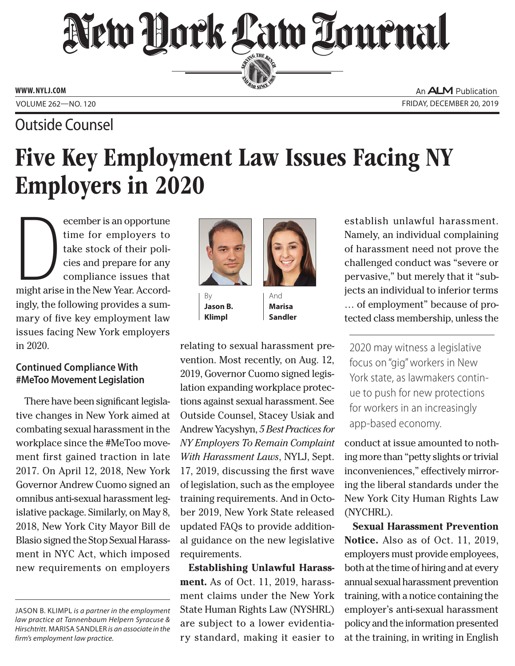# New Hork Law Lournal SERVING THE BEN

**ED BAR SINCE 188** 

**www. NYLJ.com**

### Outside Counsel

An **ALM** Publication VOLUME 262—NO. 120 THE ROOM OF STRIDAY, DECEMBER 20, 2019

## Five Key Employment Law Issues Facing NY Employers in 2020

ecember is an opportune<br>time for employers to<br>take stock of their policies<br>and prepare for any<br>compliance issues that<br>might arise in the New Year. Accordecember is an opportune time for employers to take stock of their policies and prepare for any compliance issues that ingly, the following provides a summary of five key employment law issues facing New York employers in 2020.

#### **Continued Compliance With #MeToo Movement Legislation**

There have been significant legislative changes in New York aimed at combating sexual harassment in the workplace since the #MeToo movement first gained traction in late 2017. On April 12, 2018, New York Governor Andrew Cuomo signed an omnibus anti-sexual harassment legislative package. Similarly, on May 8, 2018, New York City Mayor Bill de Blasio signed the Stop Sexual Harassment in NYC Act, which imposed new requirements on employers





**Marisa Sandler**

By **Jason B. Klimpl**

relating to sexual harassment prevention. Most recently, on Aug. 12, 2019, Governor Cuomo signed legislation expanding workplace protections against sexual harassment. See Outside Counsel, Stacey Usiak and Andrew Yacyshyn, *5 Best Practices for NY Employers To Remain Complaint With Harassment Laws*, NYLJ, Sept. 17, 2019, discussing the first wave of legislation, such as the employee training requirements. And in October 2019, New York State released updated FAQs to provide additional guidance on the new legislative requirements.

**Establishing Unlawful Harassment.** As of Oct. 11, 2019, harassment claims under the New York State Human Rights Law (NYSHRL) are subject to a lower evidentiary standard, making it easier to

establish unlawful harassment. Namely, an individual complaining of harassment need not prove the challenged conduct was "severe or pervasive," but merely that it "subjects an individual to inferior terms … of employment" because of protected class membership, unless the

2020 may witness a legislative focus on "gig" workers in New York state, as lawmakers continue to push for new protections for workers in an increasingly app-based economy.

conduct at issue amounted to nothing more than "petty slights or trivial inconveniences," effectively mirroring the liberal standards under the New York City Human Rights Law (NYCHRL).

**Sexual Harassment Prevention Notice.** Also as of Oct. 11, 2019, employers must provide employees, both at the time of hiring and at every annual sexual harassment prevention training, with a notice containing the employer's anti-sexual harassment policy and the information presented at the training, in writing in English

Jason B. Klimpl *is a partner in the employment law practice at Tannenbaum Helpern Syracuse & Hirschtritt.* MARISA SANDLER is an associate in the *firm's employment law practice.*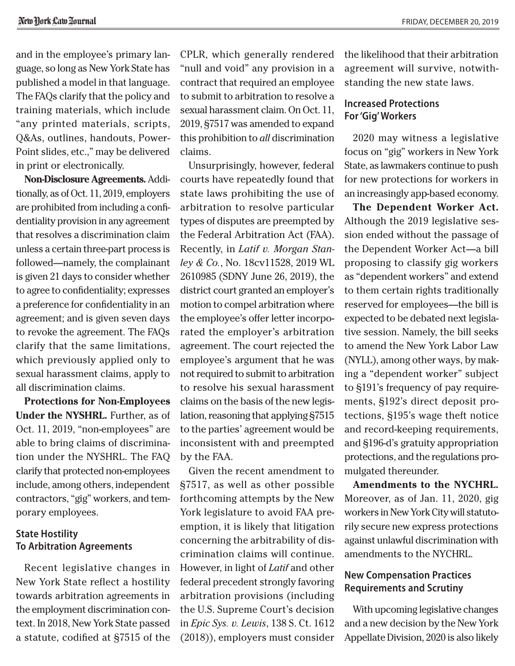and in the employee's primary language, so long as New York State has published a model in that language. The FAQs clarify that the policy and training materials, which include "any printed materials, scripts, Q&As, outlines, handouts, Power-Point slides, etc.," may be delivered in print or electronically.

**Non-Disclosure Agreements.** Additionally, as of Oct. 11, 2019, employers are prohibited from including a confidentiality provision in any agreement that resolves a discrimination claim unless a certain three-part process is followed—namely, the complainant is given 21 days to consider whether to agree to confidentiality; expresses a preference for confidentiality in an agreement; and is given seven days to revoke the agreement. The FAQs clarify that the same limitations, which previously applied only to sexual harassment claims, apply to all discrimination claims.

**Protections for Non-Employees Under the NYSHRL.** Further, as of Oct. 11, 2019, "non-employees" are able to bring claims of discrimination under the NYSHRL. The FAQ clarify that protected non-employees include, among others, independent contractors, "gig" workers, and temporary employees.

#### **State Hostility To Arbitration Agreements**

Recent legislative changes in New York State reflect a hostility towards arbitration agreements in the employment discrimination context. In 2018, New York State passed a statute, codified at §7515 of the CPLR, which generally rendered "null and void" any provision in a contract that required an employee to submit to arbitration to resolve a sexual harassment claim. On Oct. 11, 2019, §7517 was amended to expand this prohibition to *all* discrimination claims.

Unsurprisingly, however, federal courts have repeatedly found that state laws prohibiting the use of arbitration to resolve particular types of disputes are preempted by the Federal Arbitration Act (FAA). Recently, in *Latif v. Morgan Stanley & Co.*, No. 18cv11528, 2019 WL 2610985 (SDNY June 26, 2019), the district court granted an employer's motion to compel arbitration where the employee's offer letter incorporated the employer's arbitration agreement. The court rejected the employee's argument that he was not required to submit to arbitration to resolve his sexual harassment claims on the basis of the new legislation, reasoning that applying §7515 to the parties' agreement would be inconsistent with and preempted by the FAA.

Given the recent amendment to §7517, as well as other possible forthcoming attempts by the New York legislature to avoid FAA preemption, it is likely that litigation concerning the arbitrability of discrimination claims will continue. However, in light of *Latif* and other federal precedent strongly favoring arbitration provisions (including the U.S. Supreme Court's decision in *Epic Sys. v. Lewis*, 138 S. Ct. 1612 (2018)), employers must consider

the likelihood that their arbitration agreement will survive, notwithstanding the new state laws.

#### **Increased Protections For 'Gig' Workers**

2020 may witness a legislative focus on "gig" workers in New York State, as lawmakers continue to push for new protections for workers in an increasingly app-based economy.

**The Dependent Worker Act.**  Although the 2019 legislative session ended without the passage of the Dependent Worker Act—a bill proposing to classify gig workers as "dependent workers" and extend to them certain rights traditionally reserved for employees—the bill is expected to be debated next legislative session. Namely, the bill seeks to amend the New York Labor Law (NYLL), among other ways, by making a "dependent worker" subject to §191's frequency of pay requirements, §192's direct deposit protections, §195's wage theft notice and record-keeping requirements, and §196-d's gratuity appropriation protections, and the regulations promulgated thereunder.

**Amendments to the NYCHRL.**  Moreover, as of Jan. 11, 2020, gig workers in New York City will statutorily secure new express protections against unlawful discrimination with amendments to the NYCHRL.

#### **New Compensation Practices Requirements and Scrutiny**

With upcoming legislative changes and a new decision by the New York Appellate Division, 2020 is also likely